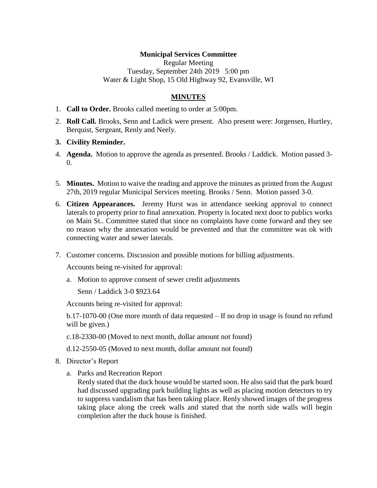## **Municipal Services Committee**

Regular Meeting Tuesday, September 24th 2019 5:00 pm Water & Light Shop, 15 Old Highway 92, Evansville, WI

# **MINUTES**

- 1. **Call to Order.** Brooks called meeting to order at 5:00pm.
- 2. **Roll Call.** Brooks, Senn and Ladick were present. Also present were: Jorgensen, Hurtley, Berquist, Sergeant, Renly and Neely.
- **3. Civility Reminder.**
- 4. **Agenda.** Motion to approve the agenda as presented. Brooks / Laddick. Motion passed 3-  $\Omega$ .
- 5. **Minutes.** Motion to waive the reading and approve the minutes as printed from the August 27th, 2019 regular Municipal Services meeting. Brooks / Senn. Motion passed 3-0.
- 6. **Citizen Appearances.** Jeremy Hurst was in attendance seeking approval to connect laterals to property prior to final annexation. Property is located next door to publics works on Main St.. Committee stated that since no complaints have come forward and they see no reason why the annexation would be prevented and that the committee was ok with connecting water and sewer laterals.
- 7. Customer concerns. Discussion and possible motions for billing adjustments.

Accounts being re-visited for approval:

a. Motion to approve consent of sewer credit adjustments

Senn / Laddick 3-0 \$923.64

Accounts being re-visited for approval:

b.17-1070-00 (One more month of data requested – If no drop in usage is found no refund will be given.)

c.18-2330-00 (Moved to next month, dollar amount not found)

d.12-2550-05 (Moved to next month, dollar amount not found)

- 8. Director's Report
	- a. Parks and Recreation Report

Renly stated that the duck house would be started soon. He also said that the park board had discussed upgrading park building lights as well as placing motion detectors to try to suppress vandalism that has been taking place. Renly showed images of the progress taking place along the creek walls and stated that the north side walls will begin completion after the duck house is finished.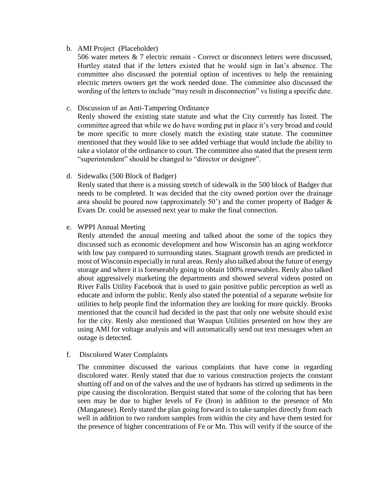### b. AMI Project (Placeholder)

506 water meters & 7 electric remain - Correct or disconnect letters were discussed, Hurtley stated that if the letters existed that he would sign in Ian's absence. The committee also discussed the potential option of incentives to help the remaining electric meters owners get the work needed done. The committee also discussed the wording of the letters to include "may result in disconnection" vs listing a specific date.

### c. Discussion of an Anti-Tampering Ordinance

Renly showed the existing state statute and what the City currently has listed. The committee agreed that while we do have wording put in place it's very broad and could be more specific to more closely match the existing state statute. The committee mentioned that they would like to see added verbiage that would include the ability to take a violator of the ordinance to court. The committee also stated that the present term "superintendent" should be changed to "director or designee".

d. Sidewalks (500 Block of Badger)

Renly stated that there is a missing stretch of sidewalk in the 500 block of Badger that needs to be completed. It was decided that the city owned portion over the drainage area should be poured now (approximately 50') and the corner property of Badger & Evans Dr. could be assessed next year to make the final connection.

e. WPPI Annual Meeting

Renly attended the annual meeting and talked about the some of the topics they discussed such as economic development and how Wisconsin has an aging workforce with low pay compared to surrounding states. Stagnant growth trends are predicted in most of Wisconsin especially in rural areas. Renly also talked about the future of energy storage and where it is foreseeably going to obtain 100% renewables. Renly also talked about aggressively marketing the departments and showed several videos posted on River Falls Utility Facebook that is used to gain positive public perception as well as educate and inform the public. Renly also stated the potential of a separate website for utilities to help people find the information they are looking for more quickly. Brooks mentioned that the council had decided in the past that only one website should exist for the city. Renly also mentioned that Waupun Utilities presented on how they are using AMI for voltage analysis and will automatically send out text messages when an outage is detected.

#### f. Discolored Water Complaints

The committee discussed the various complaints that have come in regarding discolored water. Renly stated that due to various construction projects the constant shutting off and on of the valves and the use of hydrants has stirred up sediments in the pipe causing the discoloration. Berquist stated that some of the coloring that has been seen may be due to higher levels of Fe (Iron) in addition to the presence of Mn (Manganese). Renly stated the plan going forward is to take samples directly from each well in addition to two random samples from within the city and have them tested for the presence of higher concentrations of Fe or Mn. This will verify if the source of the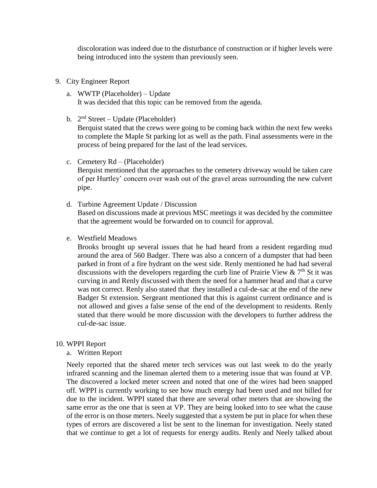discoloration was indeed due to the disturbance of construction or if higher levels were being introduced into the system than previously seen.

- 9. City Engineer Report
	- a. WWTP (Placeholder) Update It was decided that this topic can be removed from the agenda.
	- b.  $2<sup>nd</sup> Street Update (Placeholder)$

Berquist stated that the crews were going to be coming back within the next few weeks to complete the Maple St parking lot as well as the path. Final assessments were in the process of being prepared for the last of the lead services.

c. Cemetery Rd – (Placeholder)

Berquist mentioned that the approaches to the cemetery driveway would be taken care of per Hurtley' concern over wash out of the gravel areas surrounding the new culvert pipe.

d. Turbine Agreement Update / Discussion

Based on discussions made at previous MSC meetings it was decided by the committee that the agreement would be forwarded on to council for approval.

e. Westfield Meadows

Brooks brought up several issues that he had heard from a resident regarding mud around the area of 560 Badger. There was also a concern of a dumpster that had been parked in front of a fire hydrant on the west side. Renly mentioned he had had several discussions with the developers regarding the curb line of Prairie View  $\& 7<sup>th</sup>$  St it was curving in and Renly discussed with them the need for a hammer head and that a curve was not correct. Renly also stated that they installed a cul-de-sac at the end of the new Badger St extension. Sergeant mentioned that this is against current ordinance and is not allowed and gives a false sense of the end of the development to residents. Renly stated that there would be more discussion with the developers to further address the cul-de-sac issue.

#### 10. WPPI Report

# a. Written Report

Neely reported that the shared meter tech services was out last week to do the yearly infrared scanning and the lineman alerted them to a metering issue that was found at VP. The discovered a locked meter screen and noted that one of the wires had been snapped off. WPPI is currently working to see how much energy had been used and not billed for due to the incident. WPPI stated that there are several other meters that are showing the same error as the one that is seen at VP. They are being looked into to see what the cause of the error is on those meters. Neely suggested that a system be put in place for when these types of errors are discovered a list be sent to the lineman for investigation. Neely stated that we continue to get a lot of requests for energy audits. Renly and Neely talked about